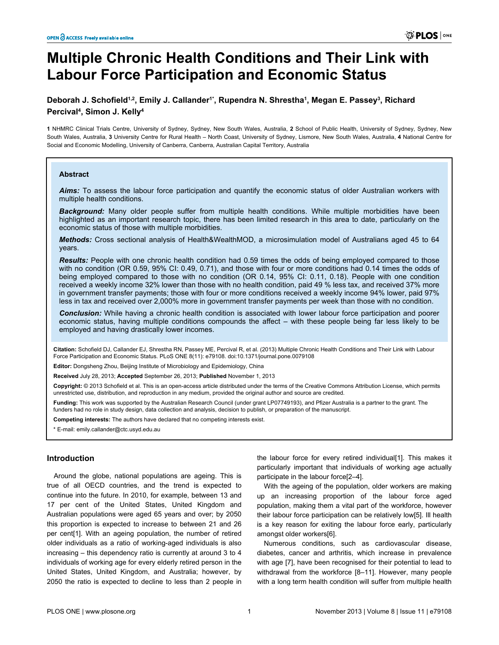# **Multiple Chronic Health Conditions and Their Link with Labour Force Participation and Economic Status**

# **Deborah J. Schofield1,2, Emily J. Callander1\*, Rupendra N. Shrestha<sup>1</sup> , Megan E. Passey<sup>3</sup> , Richard Percival<sup>4</sup> , Simon J. Kelly<sup>4</sup>**

**1** NHMRC Clinical Trials Centre, University of Sydney, Sydney, New South Wales, Australia, **2** School of Public Health, University of Sydney, Sydney, New South Wales, Australia, **3** University Centre for Rural Health – North Coast, University of Sydney, Lismore, New South Wales, Australia, **4** National Centre for Social and Economic Modelling, University of Canberra, Canberra, Australian Capital Territory, Australia

#### **Abstract**

*Aims:* To assess the labour force participation and quantify the economic status of older Australian workers with multiple health conditions.

*Background:* Many older people suffer from multiple health conditions. While multiple morbidities have been highlighted as an important research topic, there has been limited research in this area to date, particularly on the economic status of those with multiple morbidities.

*Methods:* Cross sectional analysis of Health&WealthMOD, a microsimulation model of Australians aged 45 to 64 years.

*Results:* People with one chronic health condition had 0.59 times the odds of being employed compared to those with no condition (OR 0.59, 95% CI: 0.49, 0.71), and those with four or more conditions had 0.14 times the odds of being employed compared to those with no condition (OR 0.14, 95% CI: 0.11, 0.18). People with one condition received a weekly income 32% lower than those with no health condition, paid 49 % less tax, and received 37% more in government transfer payments; those with four or more conditions received a weekly income 94% lower, paid 97% less in tax and received over 2,000% more in government transfer payments per week than those with no condition.

*Conclusion:* While having a chronic health condition is associated with lower labour force participation and poorer economic status, having multiple conditions compounds the affect – with these people being far less likely to be employed and having drastically lower incomes.

**Citation:** Schofield DJ, Callander EJ, Shrestha RN, Passey ME, Percival R, et al. (2013) Multiple Chronic Health Conditions and Their Link with Labour Force Participation and Economic Status. PLoS ONE 8(11): e79108. doi:10.1371/journal.pone.0079108

**Editor:** Dongsheng Zhou, Beijing Institute of Microbiology and Epidemiology, China

**Received** July 28, 2013; **Accepted** September 26, 2013; **Published** November 1, 2013

**Copyright:** © 2013 Schofield et al. This is an open-access article distributed under the terms of the Creative Commons Attribution License, which permits unrestricted use, distribution, and reproduction in any medium, provided the original author and source are credited.

**Funding:** This work was supported by the Australian Research Council (under grant LP07749193), and Pfizer Australia is a partner to the grant. The funders had no role in study design, data collection and analysis, decision to publish, or preparation of the manuscript.

**Competing interests:** The authors have declared that no competing interests exist.

\* E-mail: emily.callander@ctc.usyd.edu.au

## **Introduction**

Around the globe, national populations are ageing. This is true of all OECD countries, and the trend is expected to continue into the future. In 2010, for example, between 13 and 17 per cent of the United States, United Kingdom and Australian populations were aged 65 years and over; by 2050 this proportion is expected to increase to between 21 and 26 per cent[\[1\]](#page-5-0). With an ageing population, the number of retired older individuals as a ratio of working-aged individuals is also increasing – this dependency ratio is currently at around 3 to 4 individuals of working age for every elderly retired person in the United States, United Kingdom, and Australia; however, by 2050 the ratio is expected to decline to less than 2 people in

the labour force for every retired individual[\[1\]](#page-5-0). This makes it particularly important that individuals of working age actually participate in the labour force[\[2](#page-5-0)–[4\]](#page-5-0).

With the ageing of the population, older workers are making up an increasing proportion of the labour force aged population, making them a vital part of the workforce, however their labour force participation can be relatively low[\[5](#page-5-0)]. Ill health is a key reason for exiting the labour force early, particularly amongst older workers[[6\]](#page-5-0).

Numerous conditions, such as cardiovascular disease, diabetes, cancer and arthritis, which increase in prevalence with age [[7](#page-5-0)], have been recognised for their potential to lead to withdrawal from the workforce [[8–11\]](#page-5-0). However, many people with a long term health condition will suffer from multiple health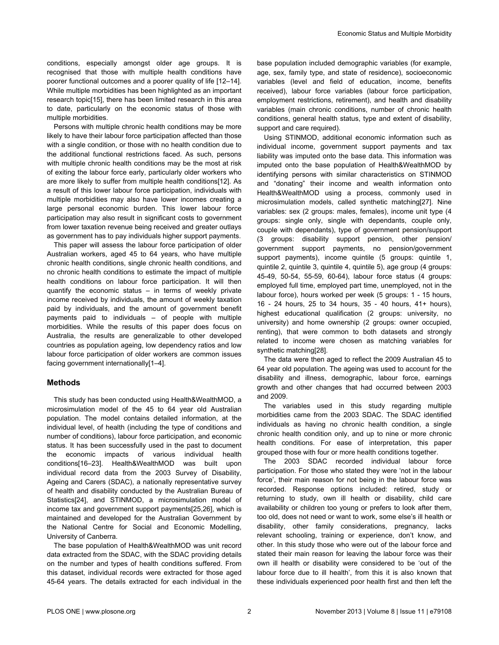conditions, especially amongst older age groups. It is recognised that those with multiple health conditions have poorer functional outcomes and a poorer quality of life [\[12–14\]](#page-5-0). While multiple morbidities has been highlighted as an important research topic[[15](#page-5-0)], there has been limited research in this area to date, particularly on the economic status of those with multiple morbidities.

Persons with multiple chronic health conditions may be more likely to have their labour force participation affected than those with a single condition, or those with no health condition due to the additional functional restrictions faced. As such, persons with multiple chronic health conditions may be the most at risk of exiting the labour force early, particularly older workers who are more likely to suffer from multiple health conditions[[12\]](#page-5-0). As a result of this lower labour force participation, individuals with multiple morbidities may also have lower incomes creating a large personal economic burden. This lower labour force participation may also result in significant costs to government from lower taxation revenue being received and greater outlays as government has to pay individuals higher support payments.

This paper will assess the labour force participation of older Australian workers, aged 45 to 64 years, who have multiple chronic health conditions, single chronic health conditions, and no chronic health conditions to estimate the impact of multiple health conditions on labour force participation. It will then quantify the economic status – in terms of weekly private income received by individuals, the amount of weekly taxation paid by individuals, and the amount of government benefit payments paid to individuals – of people with multiple morbidities. While the results of this paper does focus on Australia, the results are generalizable to other developed countries as population ageing, low dependency ratios and low labour force participation of older workers are common issues facing government internationally[[1–4\]](#page-5-0).

# **Methods**

This study has been conducted using Health&WealthMOD, a microsimulation model of the 45 to 64 year old Australian population. The model contains detailed information, at the individual level, of health (including the type of conditions and number of conditions), labour force participation, and economic status. It has been successfully used in the past to document the economic impacts of various individual health conditions[\[16–23\]](#page-5-0). Health&WealthMOD was built upon individual record data from the 2003 Survey of Disability, Ageing and Carers (SDAC), a nationally representative survey of health and disability conducted by the Australian Bureau of Statistics[[24](#page-5-0)], and STINMOD, a microsimulation model of income tax and government support payments[\[25](#page-5-0),[26](#page-5-0)], which is maintained and developed for the Australian Government by the National Centre for Social and Economic Modelling, University of Canberra.

The base population of Health&WealthMOD was unit record data extracted from the SDAC, with the SDAC providing details on the number and types of health conditions suffered. From this dataset, individual records were extracted for those aged 45-64 years. The details extracted for each individual in the

base population included demographic variables (for example, age, sex, family type, and state of residence), socioeconomic variables (level and field of education, income, benefits received), labour force variables (labour force participation, employment restrictions, retirement), and health and disability variables (main chronic conditions, number of chronic health conditions, general health status, type and extent of disability, support and care required).

Using STINMOD, additional economic information such as individual income, government support payments and tax liability was imputed onto the base data. This information was imputed onto the base population of Health&WealthMOD by identifying persons with similar characteristics on STINMOD and "donating" their income and wealth information onto Health&WealthMOD using a process, commonly used in microsimulation models, called synthetic matching[[27](#page-5-0)]. Nine variables: sex (2 groups: males, females), income unit type (4 groups: single only, single with dependants, couple only, couple with dependants), type of government pension/support (3 groups: disability support pension, other pension/ government support payments, no pension/government support payments), income quintile (5 groups: quintile 1, quintile 2, quintile 3, quintile 4, quintile 5), age group (4 groups: 45-49, 50-54, 55-59, 60-64), labour force status (4 groups: employed full time, employed part time, unemployed, not in the labour force), hours worked per week (5 groups: 1 - 15 hours, 16 - 24 hours, 25 to 34 hours, 35 - 40 hours, 41+ hours), highest educational qualification (2 groups: university, no university) and home ownership (2 groups: owner occupied, renting), that were common to both datasets and strongly related to income were chosen as matching variables for synthetic matching[\[28\]](#page-5-0).

The data were then aged to reflect the 2009 Australian 45 to 64 year old population. The ageing was used to account for the disability and illness, demographic, labour force, earnings growth and other changes that had occurred between 2003 and 2009.

The variables used in this study regarding multiple morbidities came from the 2003 SDAC. The SDAC identified individuals as having no chronic health condition, a single chronic health condition only, and up to nine or more chronic health conditions. For ease of interpretation, this paper grouped those with four or more health conditions together.

The 2003 SDAC recorded individual labour force participation. For those who stated they were 'not in the labour force', their main reason for not being in the labour force was recorded. Response options included: retired, study or returning to study, own ill health or disability, child care availability or children too young or prefers to look after them, too old, does not need or want to work, some else's ill health or disability, other family considerations, pregnancy, lacks relevant schooling, training or experience, don't know, and other. In this study those who were out of the labour force and stated their main reason for leaving the labour force was their own ill health or disability were considered to be 'out of the labour force due to ill health', from this it is also known that these individuals experienced poor health first and then left the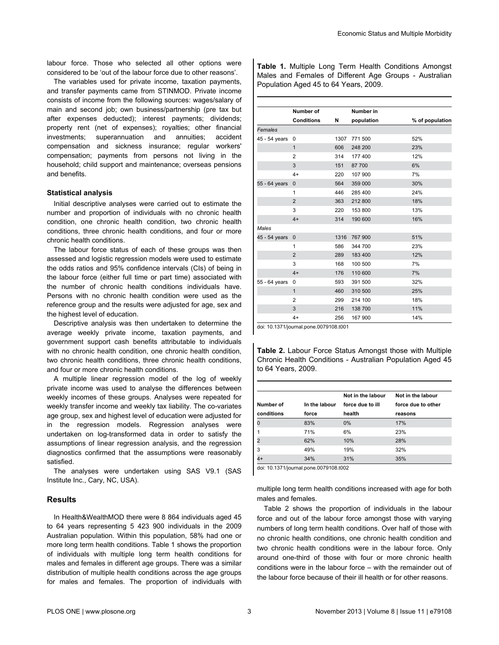labour force. Those who selected all other options were considered to be 'out of the labour force due to other reasons'.

The variables used for private income, taxation payments, and transfer payments came from STINMOD. Private income consists of income from the following sources: wages/salary of main and second job; own business/partnership (pre tax but after expenses deducted); interest payments; dividends; property rent (net of expenses); royalties; other financial investments; superannuation and annuities; accident compensation and sickness insurance; regular workers' compensation; payments from persons not living in the household; child support and maintenance; overseas pensions and benefits.

#### **Statistical analysis**

Initial descriptive analyses were carried out to estimate the number and proportion of individuals with no chronic health condition, one chronic health condition, two chronic health conditions, three chronic health conditions, and four or more chronic health conditions.

The labour force status of each of these groups was then assessed and logistic regression models were used to estimate the odds ratios and 95% confidence intervals (CIs) of being in the labour force (either full time or part time) associated with the number of chronic health conditions individuals have. Persons with no chronic health condition were used as the reference group and the results were adjusted for age, sex and the highest level of education.

Descriptive analysis was then undertaken to determine the average weekly private income, taxation payments, and government support cash benefits attributable to individuals with no chronic health condition, one chronic health condition. two chronic health conditions, three chronic health conditions, and four or more chronic health conditions.

A multiple linear regression model of the log of weekly private income was used to analyse the differences between weekly incomes of these groups. Analyses were repeated for weekly transfer income and weekly tax liability. The co-variates age group, sex and highest level of education were adjusted for in the regression models. Regression analyses were undertaken on log-transformed data in order to satisfy the assumptions of linear regression analysis, and the regression diagnostics confirmed that the assumptions were reasonably satisfied.

The analyses were undertaken using SAS V9.1 (SAS Institute Inc., Cary, NC, USA).

## **Results**

In Health&WealthMOD there were 8 864 individuals aged 45 to 64 years representing 5 423 900 individuals in the 2009 Australian population. Within this population, 58% had one or more long term health conditions. Table 1 shows the proportion of individuals with multiple long term health conditions for males and females in different age groups. There was a similar distribution of multiple health conditions across the age groups for males and females. The proportion of individuals with

**Table 1.** Multiple Long Term Health Conditions Amongst Males and Females of Different Age Groups - Australian Population Aged 45 to 64 Years, 2009.

|               | Number of         |      | Number in  |                 |
|---------------|-------------------|------|------------|-----------------|
|               | <b>Conditions</b> | N    | population | % of population |
| Females       |                   |      |            |                 |
| 45 - 54 years | 0                 | 1307 | 771 500    | 52%             |
|               | 1                 | 606  | 248 200    | 23%             |
|               | $\overline{2}$    | 314  | 177 400    | 12%             |
|               | 3                 | 151  | 87 700     | 6%              |
|               | $4+$              | 220  | 107 900    | 7%              |
| 55 - 64 years | $\mathbf{0}$      | 564  | 359 000    | 30%             |
|               | 1                 | 446  | 285 400    | 24%             |
|               | $\overline{2}$    | 363  | 212 800    | 18%             |
|               | 3                 | 220  | 153 800    | 13%             |
|               | $4+$              | 314  | 190 600    | 16%             |
| Males         |                   |      |            |                 |
| 45 - 54 years | $\mathbf{0}$      | 1316 | 767 900    | 51%             |
|               | 1                 | 586  | 344 700    | 23%             |
|               | $\overline{2}$    | 289  | 183 400    | 12%             |
|               | 3                 | 168  | 100 500    | 7%              |
|               | $4+$              | 176  | 110 600    | 7%              |
| 55 - 64 years | 0                 | 593  | 391 500    | 32%             |
|               | 1                 | 460  | 310 500    | 25%             |
|               | $\overline{2}$    | 299  | 214 100    | 18%             |
|               | 3                 | 216  | 138 700    | 11%             |
|               | $4+$              | 256  | 167 900    | 14%             |

doi: 10.1371/journal.pone.0079108.t001

**Table 2.** Labour Force Status Amongst those with Multiple Chronic Health Conditions - Australian Population Aged 45 to 64 Years, 2009.

|            |               | Not in the labour | Not in the labour  |
|------------|---------------|-------------------|--------------------|
| Number of  | In the labour | force due to ill  | force due to other |
| conditions | force         | health            | reasons            |
|            | 83%           | 0%                | 17%                |
|            | 71%           | 6%                | 23%                |
|            | 62%           | 10%               | 28%                |
| 3          | 49%           | 19%               | 32%                |
|            | 34%           | 31%               | 35%                |

doi: 10.1371/journal.pone.0079108.t002

multiple long term health conditions increased with age for both males and females.

Table 2 shows the proportion of individuals in the labour force and out of the labour force amongst those with varying numbers of long term health conditions. Over half of those with no chronic health conditions, one chronic health condition and two chronic health conditions were in the labour force. Only around one-third of those with four or more chronic health conditions were in the labour force – with the remainder out of the labour force because of their ill health or for other reasons.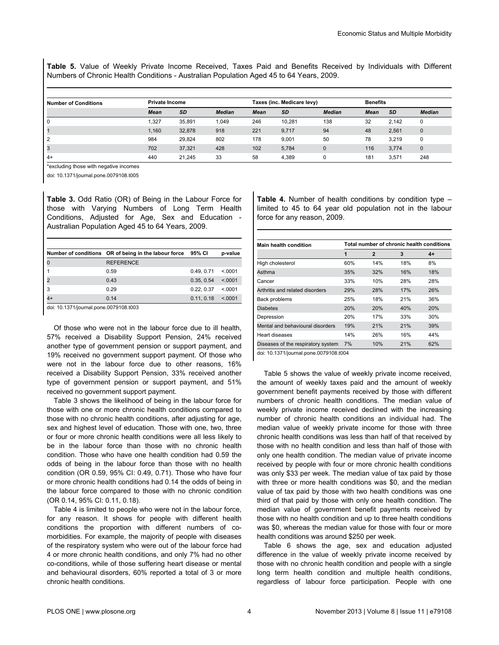**Table 5.** Value of Weekly Private Income Received, Taxes Paid and Benefits Received by Individuals with Different Numbers of Chronic Health Conditions - Australian Population Aged 45 to 64 Years, 2009.

| <b>Number of Conditions</b> | <b>Private Income</b> |           |               | Taxes (inc. Medicare levy) |           |               | <b>Benefits</b> |           |               |
|-----------------------------|-----------------------|-----------|---------------|----------------------------|-----------|---------------|-----------------|-----------|---------------|
|                             | <b>Mean</b>           | <b>SD</b> | <b>Median</b> | <b>Mean</b>                | <b>SD</b> | <b>Median</b> | <b>Mean</b>     | <b>SD</b> | <b>Median</b> |
| 0                           | .327                  | 35.891    | 1.049         | 246                        | 10.281    | 138           | 32              | 2.142     | 0             |
|                             | 1,160                 | 32.878    | 918           | 221                        | 9,717     | 94            | 48              | 2,561     | $\Omega$      |
| 2                           | 984                   | 29.824    | 802           | 178                        | 9,001     | 50            | 78              | 3.219     | $\Omega$      |
| 3                           | 702                   | 37.321    | 428           | 102                        | 5,784     |               | 116             | 3,774     | $\mathbf{0}$  |
| $4+$                        | 440                   | 21.245    | 33            | 58                         | 4,389     |               | 181             | 3,571     | 248           |

\*excluding those with negative incomes

doi: 10.1371/journal.pone.0079108.t005

**Table 3.** Odd Ratio (OR) of Being in the Labour Force for those with Varying Numbers of Long Term Health Conditions, Adjusted for Age, Sex and Education - Australian Population Aged 45 to 64 Years, 2009.

|      | Number of conditions OR of being in the labour force | 95% CI     | p-value  |
|------|------------------------------------------------------|------------|----------|
|      | <b>REFERENCE</b>                                     |            |          |
|      | 0.59                                                 | 0.49, 0.71 | < 0.0001 |
|      | 0.43                                                 | 0.35.0.54  | < 0.001  |
| 3    | 0.29                                                 | 0.22.0.37  | < 0.001  |
| $4+$ | 0.14                                                 | 0.11, 0.18 | < 0.0001 |

doi: 10.1371/journal.pone.0079108.t003

Of those who were not in the labour force due to ill health, 57% received a Disability Support Pension, 24% received another type of government pension or support payment, and 19% received no government support payment. Of those who were not in the labour force due to other reasons, 16% received a Disability Support Pension, 33% received another type of government pension or support payment, and 51% received no government support payment.

Table 3 shows the likelihood of being in the labour force for those with one or more chronic health conditions compared to those with no chronic health conditions, after adjusting for age, sex and highest level of education. Those with one, two, three or four or more chronic health conditions were all less likely to be in the labour force than those with no chronic health condition. Those who have one health condition had 0.59 the odds of being in the labour force than those with no health condition (OR 0.59, 95% CI: 0.49, 0.71). Those who have four or more chronic health conditions had 0.14 the odds of being in the labour force compared to those with no chronic condition (OR 0.14, 95% CI: 0.11, 0.18).

Table 4 is limited to people who were not in the labour force, for any reason. It shows for people with different health conditions the proportion with different numbers of comorbidities. For example, the majority of people with diseases of the respiratory system who were out of the labour force had 4 or more chronic health conditions, and only 7% had no other co-conditions, while of those suffering heart disease or mental and behavioural disorders, 60% reported a total of 3 or more chronic health conditions.

**Table 4.** Number of health conditions by condition type – limited to 45 to 64 year old population not in the labour force for any reason, 2009.

| Main health condition              | Total number of chronic health conditions |                |     |     |  |  |  |
|------------------------------------|-------------------------------------------|----------------|-----|-----|--|--|--|
|                                    | 1                                         | $\overline{2}$ | 3   | 4+  |  |  |  |
| High cholesterol                   | 60%                                       | 14%            | 18% | 8%  |  |  |  |
| Asthma                             | 35%                                       | 32%            | 16% | 18% |  |  |  |
| Cancer                             | 33%                                       | 10%            | 28% | 28% |  |  |  |
| Arthritis and related disorders    | 29%                                       | 28%            | 17% | 26% |  |  |  |
| Back problems                      | 25%                                       | 18%            | 21% | 36% |  |  |  |
| <b>Diabetes</b>                    | 20%                                       | 20%            | 40% | 20% |  |  |  |
| Depression                         | 20%                                       | 17%            | 33% | 30% |  |  |  |
| Mental and behavioural disorders   | 19%                                       | 21%            | 21% | 39% |  |  |  |
| Heart diseases                     | 14%                                       | 26%            | 16% | 44% |  |  |  |
| Diseases of the respiratory system | 7%                                        | 10%            | 21% | 62% |  |  |  |

doi: 10.1371/journal.pone.0079108.t004

Table 5 shows the value of weekly private income received, the amount of weekly taxes paid and the amount of weekly government benefit payments received by those with different numbers of chronic health conditions. The median value of weekly private income received declined with the increasing number of chronic health conditions an individual had. The median value of weekly private income for those with three chronic health conditions was less than half of that received by those with no health condition and less than half of those with only one health condition. The median value of private income received by people with four or more chronic health conditions was only \$33 per week. The median value of tax paid by those with three or more health conditions was \$0, and the median value of tax paid by those with two health conditions was one third of that paid by those with only one health condition. The median value of government benefit payments received by those with no health condition and up to three health conditions was \$0, whereas the median value for those with four or more health conditions was around \$250 per week.

[Table 6](#page-4-0) shows the age, sex and education adjusted difference in the value of weekly private income received by those with no chronic health condition and people with a single long term health condition and multiple health conditions, regardless of labour force participation. People with one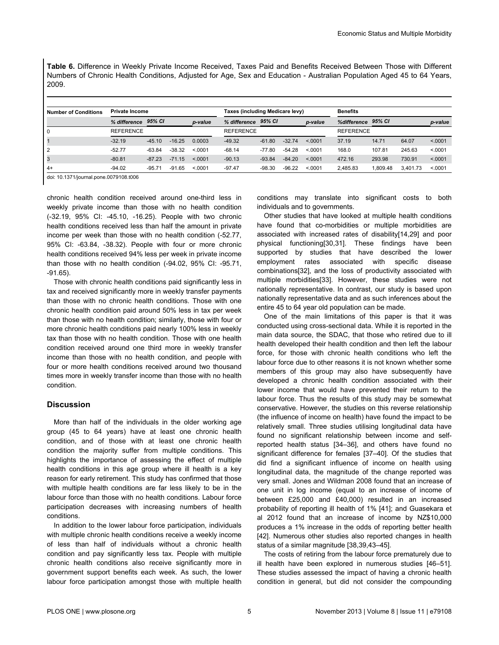<span id="page-4-0"></span>**Table 6.** Difference in Weekly Private Income Received, Taxes Paid and Benefits Received Between Those with Different Numbers of Chronic Health Conditions, Adjusted for Age, Sex and Education - Australian Population Aged 45 to 64 Years, 2009.

| <b>Number of Conditions</b> | <b>Private Income</b> |          |          |         | Taxes (including Medicare levy) |          |          |         | <b>Benefits</b>  |          |          |          |
|-----------------------------|-----------------------|----------|----------|---------|---------------------------------|----------|----------|---------|------------------|----------|----------|----------|
|                             | % difference          | 95% CI   |          | p-value | % difference                    | 95% CI   |          | p-value | %difference      | 95% CI   |          | p-value  |
| 0                           | <b>REFERENCE</b>      |          |          |         | <b>REFERENCE</b>                |          |          |         | <b>REFERENCE</b> |          |          |          |
|                             | $-32.19$              | $-45.10$ | $-16.25$ | 0.0003  | $-49.32$                        | $-61.80$ | $-32.74$ | < 0.001 | 37.19            | 14.71    | 64.07    | < 0.0001 |
| 2                           | $-52.77$              | $-63.84$ | $-38.32$ | < 0.001 | $-68.14$                        | $-77.80$ | $-54.28$ | < 0.001 | 168.0            | 107.81   | 245.63   | < 0.0001 |
| 3                           | $-80.81$              | $-87.23$ | $-71.15$ | < 0.001 | $-90.13$                        | $-93.84$ | $-84.20$ | < 0.001 | 472.16           | 293.98   | 730.91   | < 0.0001 |
| $4+$                        | $-94.02$              | $-95.71$ | $-91.65$ | < 0.001 | $-97.47$                        | $-98.30$ | $-96.22$ | < 0.001 | 2.485.83         | 1.809.48 | 3.401.73 | < 0.0001 |

doi: 10.1371/journal.pone.0079108.t006

chronic health condition received around one-third less in weekly private income than those with no health condition (-32.19, 95% CI: -45.10, -16.25). People with two chronic health conditions received less than half the amount in private income per week than those with no health condition (-52.77, 95% CI: -63.84, -38.32). People with four or more chronic health conditions received 94% less per week in private income than those with no health condition (-94.02, 95% CI: -95.71, -91.65).

Those with chronic health conditions paid significantly less in tax and received significantly more in weekly transfer payments than those with no chronic health conditions. Those with one chronic health condition paid around 50% less in tax per week than those with no health condition; similarly, those with four or more chronic health conditions paid nearly 100% less in weekly tax than those with no health condition. Those with one health condition received around one third more in weekly transfer income than those with no health condition, and people with four or more health conditions received around two thousand times more in weekly transfer income than those with no health condition.

#### **Discussion**

More than half of the individuals in the older working age group (45 to 64 years) have at least one chronic health condition, and of those with at least one chronic health condition the majority suffer from multiple conditions. This highlights the importance of assessing the effect of multiple health conditions in this age group where ill health is a key reason for early retirement. This study has confirmed that those with multiple health conditions are far less likely to be in the labour force than those with no health conditions. Labour force participation decreases with increasing numbers of health conditions.

In addition to the lower labour force participation, individuals with multiple chronic health conditions receive a weekly income of less than half of individuals without a chronic health condition and pay significantly less tax. People with multiple chronic health conditions also receive significantly more in government support benefits each week. As such, the lower labour force participation amongst those with multiple health

conditions may translate into significant costs to both individuals and to governments.

Other studies that have looked at multiple health conditions have found that co-morbidities or multiple morbidities are associated with increased rates of disability[[14](#page-5-0),[29](#page-6-0)] and poor physical functioning[\[30,31\]](#page-6-0). These findings have been supported by studies that have described the lower employment rates associated with specific disease combinations[[32](#page-6-0)], and the loss of productivity associated with multiple morbidities[[33](#page-6-0)]. However, these studies were not nationally representative. In contrast, our study is based upon nationally representative data and as such inferences about the entire 45 to 64 year old population can be made.

One of the main limitations of this paper is that it was conducted using cross-sectional data. While it is reported in the main data source, the SDAC, that those who retired due to ill health developed their health condition and then left the labour force, for those with chronic health conditions who left the labour force due to other reasons it is not known whether some members of this group may also have subsequently have developed a chronic health condition associated with their lower income that would have prevented their return to the labour force. Thus the results of this study may be somewhat conservative. However, the studies on this reverse relationship (the influence of income on health) have found the impact to be relatively small. Three studies utilising longitudinal data have found no significant relationship between income and selfreported health status [[34](#page-6-0)–[36](#page-6-0)], and others have found no significant difference for females [\[37–40](#page-6-0)]. Of the studies that did find a significant influence of income on health using longitudinal data, the magnitude of the change reported was very small. Jones and Wildman 2008 found that an increase of one unit in log income (equal to an increase of income of between £25,000 and £40,000) resulted in an increased probability of reporting ill health of 1% [[41](#page-6-0)]; and Guasekara et al 2012 found that an increase of income by NZ\$10,000 produces a 1% increase in the odds of reporting better health [[42](#page-6-0)]. Numerous other studies also reported changes in health status of a similar magnitude [\[38,39,43–45\]](#page-6-0).

The costs of retiring from the labour force prematurely due to ill health have been explored in numerous studies [\[46–51\]](#page-6-0). These studies assessed the impact of having a chronic health condition in general, but did not consider the compounding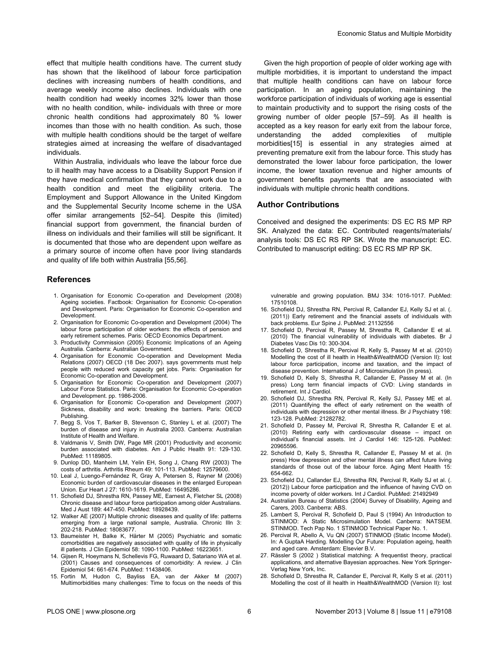<span id="page-5-0"></span>effect that multiple health conditions have. The current study has shown that the likelihood of labour force participation declines with increasing numbers of health conditions, and average weekly income also declines. Individuals with one health condition had weekly incomes 32% lower than those with no health condition, while- individuals with three or more chronic health conditions had approximately 80 % lower incomes than those with no health condition. As such, those with multiple health conditions should be the target of welfare strategies aimed at increasing the welfare of disadvantaged individuals.

Within Australia, individuals who leave the labour force due to ill health may have access to a Disability Support Pension if they have medical confirmation that they cannot work due to a health condition and meet the eligibility criteria. The Employment and Support Allowance in the United Kingdom and the Supplemental Security Income scheme in the USA offer similar arrangements [[52–54\]](#page-6-0). Despite this (limited) financial support from government, the financial burden of illness on individuals and their families will still be significant. It is documented that those who are dependent upon welfare as a primary source of income often have poor living standards and quality of life both within Australia [[55,56\]](#page-6-0).

#### **References**

- 1. Organisation for Economic Co-operation and Development (2008) Ageing societies. Factbook: Organisation for Economic Co-operation and Development. Paris: Organisation for Economic Co-operation and Development.
- 2. Organisation for Economic Co-operation and Development (2004) The labour force participation of older workers: the effects of pension and early retirement schemes. Paris: OECD Economics Department.
- 3. Productivity Commission (2005) Economic Implications of an Ageing Australia. Canberra: Australian Government.
- 4. Organisation for Economic Co-operation and Development Media Relations (2007) OECD (18 Dec 2007). says governments must help people with reduced work capacity get jobs. Paris: Organisation for Economic Co-operation and Development.
- 5. Organisation for Economic Co-operation and Development (2007) Labour Force Statistics. Paris: Organisation for Economic Co-operation and Development. pp. 1986-2006.
- 6. Organisation for Economic Co-operation and Development (2007) Sickness, disability and work: breaking the barriers. Paris: OECD Publishing.
- 7. Begg S, Vos T, Barker B, Stevenson C, Stanley L et al. (2007) The burden of disease and injury in Australia 2003. Canberra: Australian Institute of Health and Welfare.
- 8. Valdmanis V, Smith DW, Page MR (2001) Productivity and economic burden associated with diabetes. Am J Public Health 91: 129-130. PubMed: [11189805.](http://www.ncbi.nlm.nih.gov/pubmed/11189805)
- 9. Dunlop DD, Manheim LM, Yelin EH, Song J, Chang RW (2003) The costs of arthritis. Arthritis Rheum 49: 101-113. PubMed: [12579600](http://www.ncbi.nlm.nih.gov/pubmed/12579600).
- 10. Leal J, Luengo-Fernández R, Gray A, Petersen S, Rayner M (2006) Economic burden of cardiovascular diseases in the enlarged European Union. Eur Heart J 27: 1610-1619. PubMed: [16495286](http://www.ncbi.nlm.nih.gov/pubmed/16495286).
- 11. Schofield DJ, Shrestha RN, Passey ME, Earnest A, Fletcher SL (2008) Chronic disease and labour force participation among older Australians. Med J Aust 189: 447-450. PubMed: [18928439.](http://www.ncbi.nlm.nih.gov/pubmed/18928439)
- 12. Walker AE (2007) Multiple chronic diseases and quality of life: patterns emerging from a large national sample, Australia. Chronic IIIn 3: 202-218. PubMed: [18083677](http://www.ncbi.nlm.nih.gov/pubmed/18083677).
- 13. Baumeister H, Balke K, Härter M (2005) Psychiatric and somatic comorbidities are negatively associated with quality of life in physically ill patients. J Clin Epidemiol 58: 1090-1100. PubMed: [16223651.](http://www.ncbi.nlm.nih.gov/pubmed/16223651)
- 14. Gijsen R, Hoeymans N, Schellevis FG, Ruwaard D, Satariano WA et al. (2001) Causes and consequences of comorbidity: A review. J Clin Epidemiol 54: 661-674. PubMed: [11438406.](http://www.ncbi.nlm.nih.gov/pubmed/11438406)
- 15. Fortin M, Hudon C, Bayliss EA, van der Akker M (2007) Multimorbidities many challenges: Time to focus on the needs of this

Given the high proportion of people of older working age with multiple morbidities, it is important to understand the impact that multiple health conditions can have on labour force participation. In an ageing population, maintaining the workforce participation of individuals of working age is essential to maintain productivity and to support the rising costs of the growing number of older people [[57–59](#page-6-0)]. As ill health is accepted as a key reason for early exit from the labour force, understanding the added complexities of multiple morbidities[15] is essential in any strategies aimed at preventing premature exit from the labour force. This study has demonstrated the lower labour force participation, the lower income, the lower taxation revenue and higher amounts of government benefits payments that are associated with individuals with multiple chronic health conditions.

#### **Author Contributions**

Conceived and designed the experiments: DS EC RS MP RP SK. Analyzed the data: EC. Contributed reagents/materials/ analysis tools: DS EC RS RP SK. Wrote the manuscript: EC. Contributed to manuscript editing: DS EC RS MP RP SK.

vulnerable and growing population. BMJ 334: 1016-1017. PubMed: [17510108.](http://www.ncbi.nlm.nih.gov/pubmed/17510108)

- 16. Schofield DJ, Shrestha RN, Percival R, Callander EJ, Kelly SJ et al. (. (2011)) Early retirement and the financial assets of individuals with back problems. Eur Spine J. PubMed: 21132556
- 17. Schofield D, Percival R, Passey M, Shrestha R, Callander E et al. (2010) The financial vulnerability of individuals with diabetes. Br J Diabetes Vasc Dis 10: 300-304.
- 18. Schofield D, Shrestha R, Percival R, Kelly S, Passey M et al. (2010) Modelling the cost of ill health in Health&WealthMOD (Version II): lost labour force participation, income and taxation, and the impact of disease prevention. International J of Microsimulation (In press).
- 19. Schofield D, Kelly S, Shrestha R, Callander E, Passey M et al. (In press) Long term financial impacts of CVD: Living standards in retirement. Int J Cardiol.
- 20. Schofield DJ, Shrestha RN, Percival R, Kelly SJ, Passey ME et al. (2011) Quantifying the effect of early retirement on the wealth of individuals with depression or other mental illness. Br J Psychiatry 198: 123-128. PubMed: [21282782](http://www.ncbi.nlm.nih.gov/pubmed/21282782).
- 21. Schofield D, Passey M, Percival R, Shrestha R, Callander E et al. (2010) Retiring early with cardiovascular disease – impact on individual's financial assets. Int J Cardiol 146: 125-126. PubMed: [20965596.](http://www.ncbi.nlm.nih.gov/pubmed/20965596)
- 22. Schofield D, Kelly S, Shrestha R, Callander E, Passey M et al. (In press) How depression and other mental illness can affect future living standards of those out of the labour force. Aging Ment Health 15: 654-662.
- 23. Schofield DJ, Callander EJ, Shrestha RN, Percival R, Kelly SJ et al. (. (2012)) Labour force participation and the influence of having CVD on income poverty of older workers. Int J Cardiol. PubMed: 21492949
- 24. Australian Bureau of Statistics (2004) Survey of Disability, Ageing and Carers, 2003. Canberra: ABS.
- 25. Lambert S, Percival R, Schofield D, Paul S (1994) An Introduction to STINMOD: A Static Microsimulation Model. Canberra: NATSEM. STINMOD. Tech Pap No. 1 STINMOD Technical Paper No. 1.
- 26. Percival R, Abello A, Vu QN (2007) STINMOD (Static Income Model). In: A GuptaA Harding. Modelling Our Future: Population ageing, health and aged care. Amsterdam: Elsevier B.V.
- 27. Rässler S (2002 ) Statistical matching: A frequentist theory, practical applications, and alternative Bayesian approaches. New York Springer-Verlag New York, Inc.
- 28. Schofield D, Shrestha R, Callander E, Percival R, Kelly S et al. (2011) Modelling the cost of ill health in Health&WealthMOD (Version II): lost